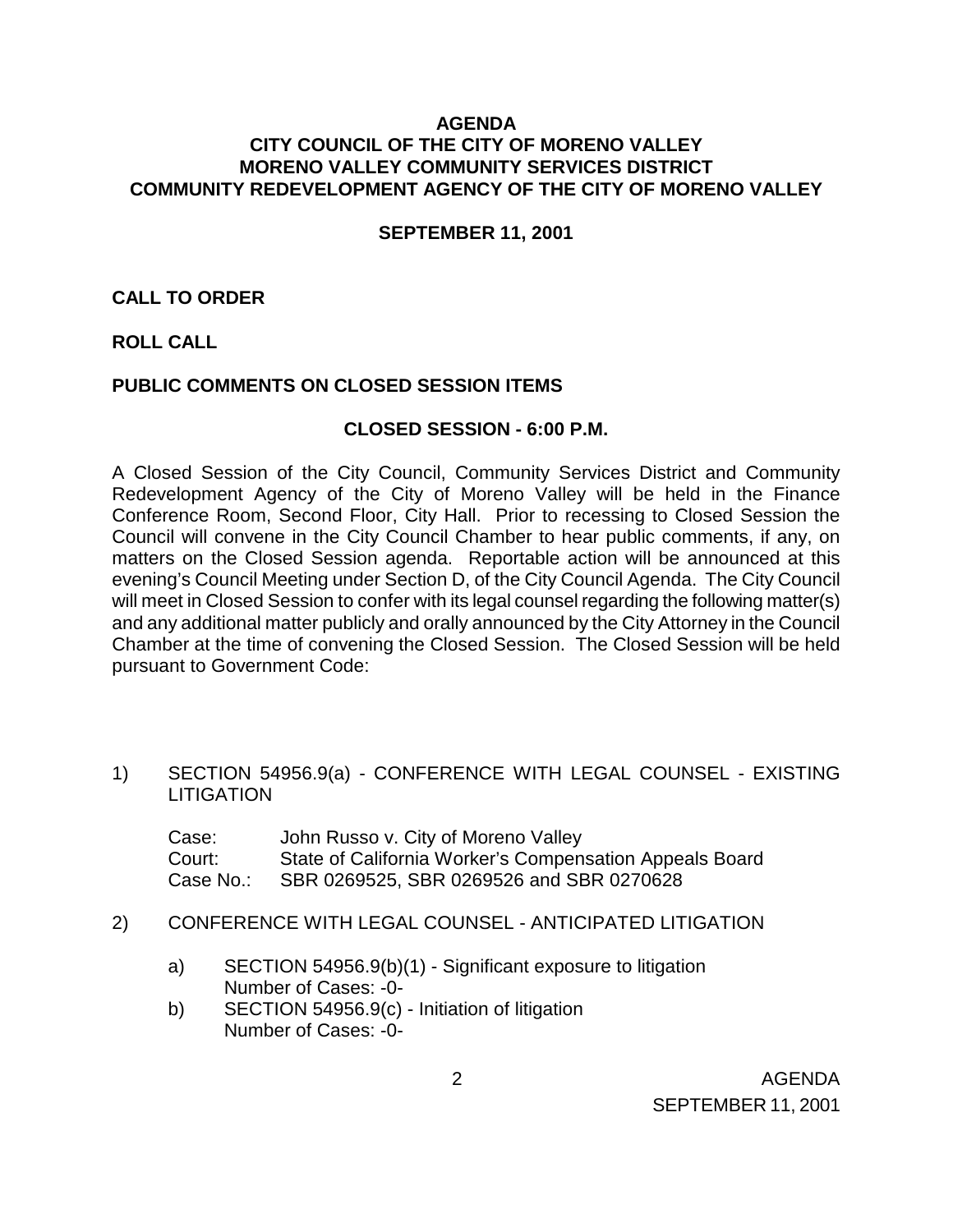## **AGENDA CITY COUNCIL OF THE CITY OF MORENO VALLEY MORENO VALLEY COMMUNITY SERVICES DISTRICT COMMUNITY REDEVELOPMENT AGENCY OF THE CITY OF MORENO VALLEY**

#### **SEPTEMBER 11, 2001**

### **CALL TO ORDER**

## **ROLL CALL**

### **PUBLIC COMMENTS ON CLOSED SESSION ITEMS**

#### **CLOSED SESSION - 6:00 P.M.**

A Closed Session of the City Council, Community Services District and Community Redevelopment Agency of the City of Moreno Valley will be held in the Finance Conference Room, Second Floor, City Hall. Prior to recessing to Closed Session the Council will convene in the City Council Chamber to hear public comments, if any, on matters on the Closed Session agenda. Reportable action will be announced at this evening's Council Meeting under Section D, of the City Council Agenda. The City Council will meet in Closed Session to confer with its legal counsel regarding the following matter(s) and any additional matter publicly and orally announced by the City Attorney in the Council Chamber at the time of convening the Closed Session. The Closed Session will be held pursuant to Government Code:

1) SECTION 54956.9(a) - CONFERENCE WITH LEGAL COUNSEL - EXISTING **LITIGATION** 

| Case:     | John Russo v. City of Moreno Valley                     |
|-----------|---------------------------------------------------------|
| Court:    | State of California Worker's Compensation Appeals Board |
| Case No.: | SBR 0269525, SBR 0269526 and SBR 0270628                |

- 2) CONFERENCE WITH LEGAL COUNSEL ANTICIPATED LITIGATION
	- a) SECTION 54956.9(b)(1) Significant exposure to litigation Number of Cases: -0-
	- b) SECTION 54956.9(c) Initiation of litigation Number of Cases: -0-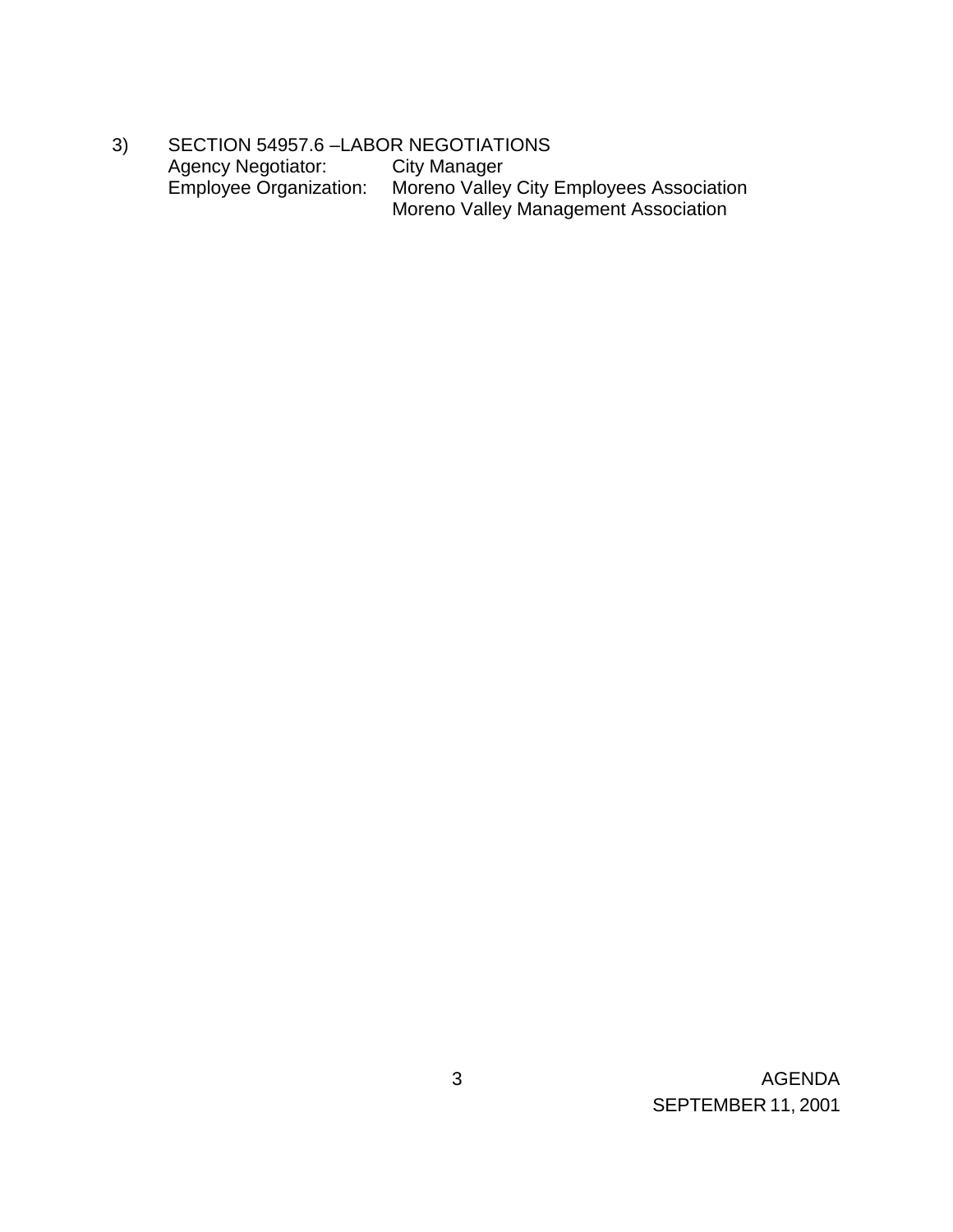3) SECTION 54957.6 -LABOR NEGOTIATIONS<br>Agency Negotiator: City Manager Agency Negotiator:<br>Employee Organization: Employee Organization: Moreno Valley City Employees Association Moreno Valley Management Association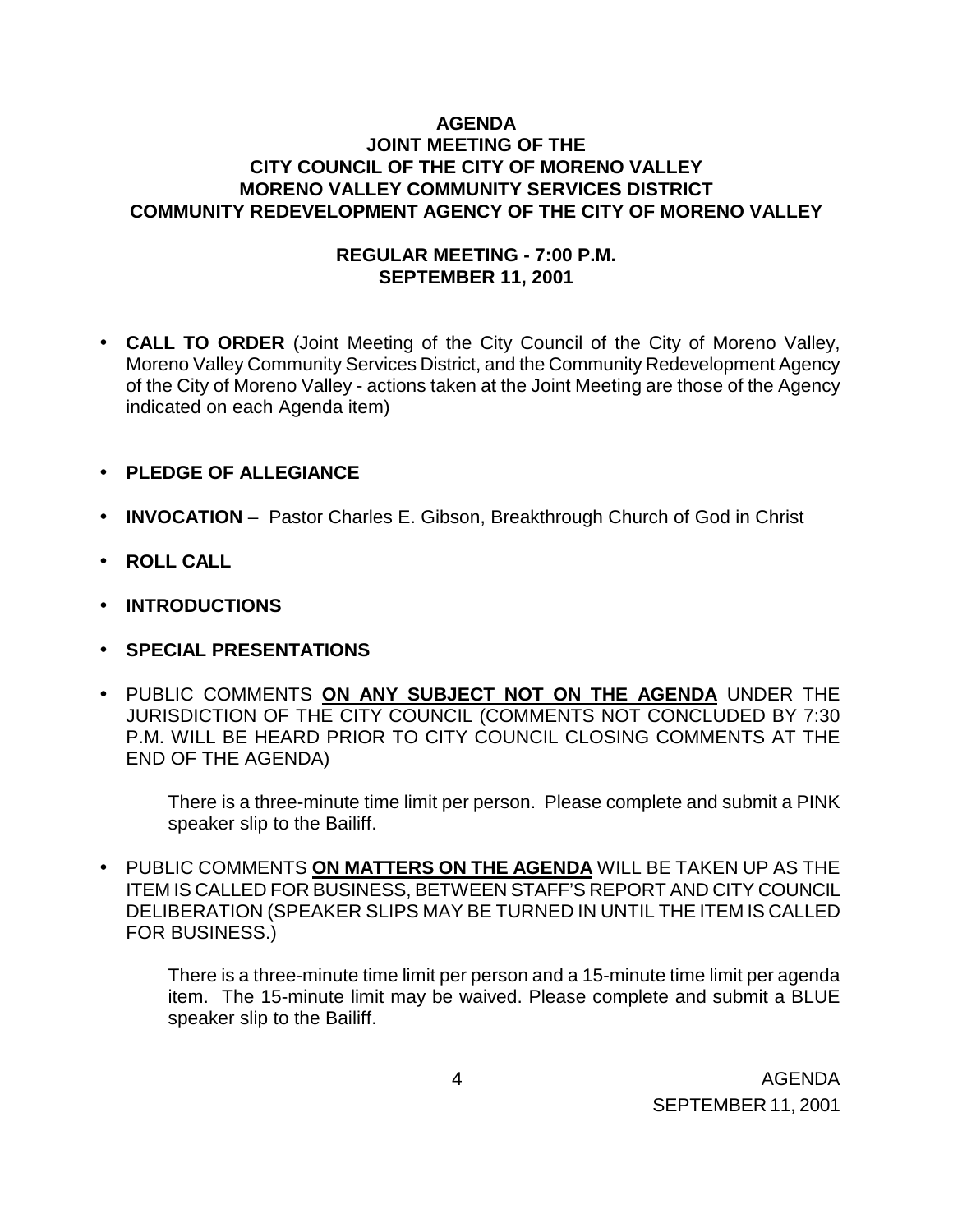# **AGENDA JOINT MEETING OF THE CITY COUNCIL OF THE CITY OF MORENO VALLEY MORENO VALLEY COMMUNITY SERVICES DISTRICT COMMUNITY REDEVELOPMENT AGENCY OF THE CITY OF MORENO VALLEY**

## **REGULAR MEETING - 7:00 P.M. SEPTEMBER 11, 2001**

- **CALL TO ORDER** (Joint Meeting of the City Council of the City of Moreno Valley, Moreno Valley Community Services District, and the Community Redevelopment Agency of the City of Moreno Valley - actions taken at the Joint Meeting are those of the Agency indicated on each Agenda item)
- **PLEDGE OF ALLEGIANCE**
- **INVOCATION** Pastor Charles E. Gibson, Breakthrough Church of God in Christ
- **ROLL CALL**
- **INTRODUCTIONS**
- **SPECIAL PRESENTATIONS**
- PUBLIC COMMENTS **ON ANY SUBJECT NOT ON THE AGENDA** UNDER THE JURISDICTION OF THE CITY COUNCIL (COMMENTS NOT CONCLUDED BY 7:30 P.M. WILL BE HEARD PRIOR TO CITY COUNCIL CLOSING COMMENTS AT THE END OF THE AGENDA)

There is a three-minute time limit per person. Please complete and submit a PINK speaker slip to the Bailiff.

• PUBLIC COMMENTS **ON MATTERS ON THE AGENDA** WILL BE TAKEN UP AS THE ITEM IS CALLED FOR BUSINESS, BETWEEN STAFF'S REPORT AND CITY COUNCIL DELIBERATION (SPEAKER SLIPS MAY BE TURNED IN UNTIL THE ITEM IS CALLED FOR BUSINESS.)

There is a three-minute time limit per person and a 15-minute time limit per agenda item. The 15-minute limit may be waived. Please complete and submit a BLUE speaker slip to the Bailiff.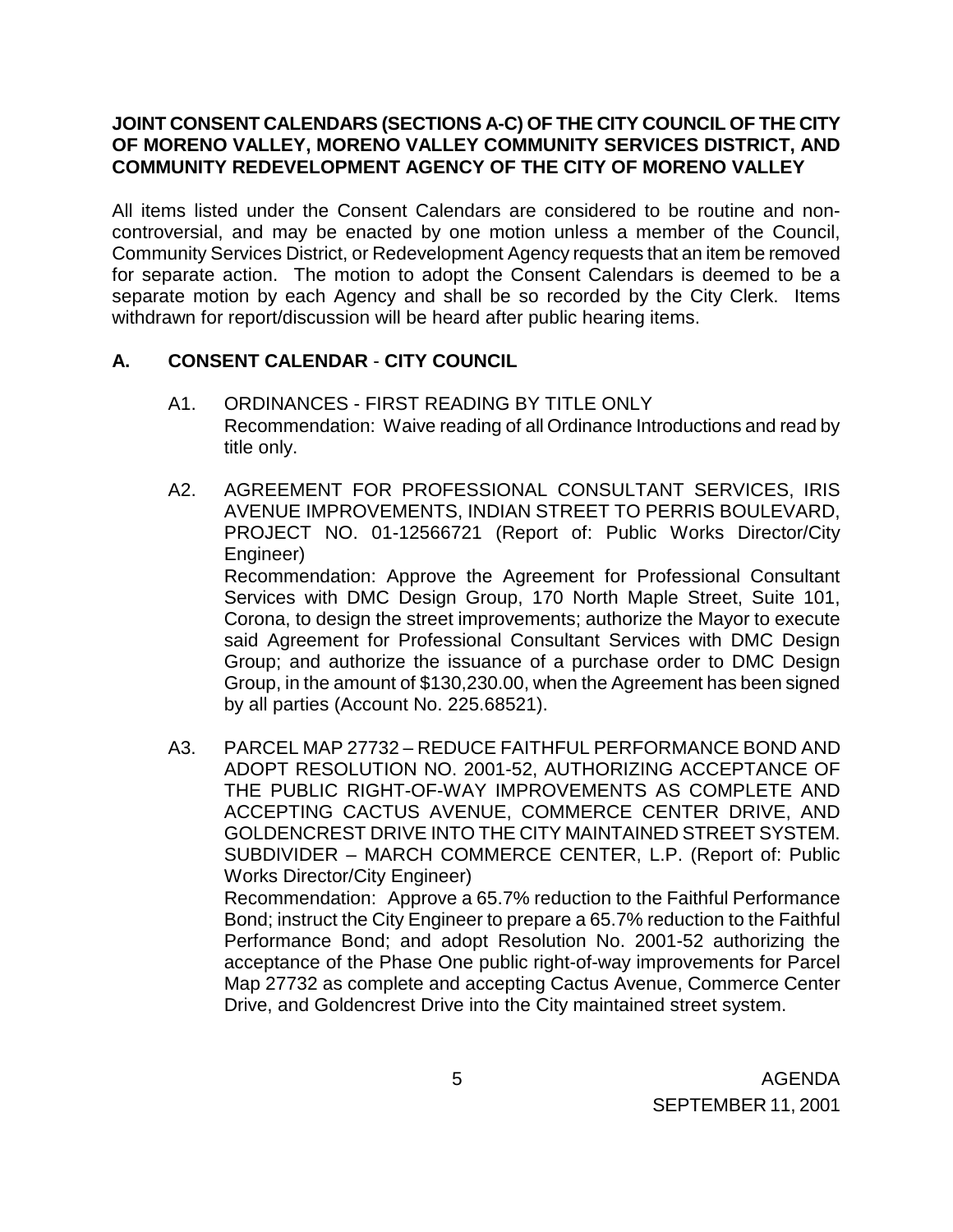# **JOINT CONSENT CALENDARS (SECTIONS A-C) OF THE CITY COUNCIL OF THE CITY OF MORENO VALLEY, MORENO VALLEY COMMUNITY SERVICES DISTRICT, AND COMMUNITY REDEVELOPMENT AGENCY OF THE CITY OF MORENO VALLEY**

All items listed under the Consent Calendars are considered to be routine and noncontroversial, and may be enacted by one motion unless a member of the Council, Community Services District, or Redevelopment Agency requests that an item be removed for separate action. The motion to adopt the Consent Calendars is deemed to be a separate motion by each Agency and shall be so recorded by the City Clerk. Items withdrawn for report/discussion will be heard after public hearing items.

# **A. CONSENT CALENDAR** - **CITY COUNCIL**

by all parties (Account No. 225.68521).

- A1. ORDINANCES FIRST READING BY TITLE ONLY Recommendation: Waive reading of all Ordinance Introductions and read by title only.
- A2. AGREEMENT FOR PROFESSIONAL CONSULTANT SERVICES, IRIS AVENUE IMPROVEMENTS, INDIAN STREET TO PERRIS BOULEVARD, PROJECT NO. 01-12566721 (Report of: Public Works Director/City Engineer) Recommendation: Approve the Agreement for Professional Consultant Services with DMC Design Group, 170 North Maple Street, Suite 101, Corona, to design the street improvements; authorize the Mayor to execute said Agreement for Professional Consultant Services with DMC Design Group; and authorize the issuance of a purchase order to DMC Design Group, in the amount of \$130,230.00, when the Agreement has been signed
- A3. PARCEL MAP 27732 REDUCE FAITHFUL PERFORMANCE BOND AND ADOPT RESOLUTION NO. 2001-52, AUTHORIZING ACCEPTANCE OF THE PUBLIC RIGHT-OF-WAY IMPROVEMENTS AS COMPLETE AND ACCEPTING CACTUS AVENUE, COMMERCE CENTER DRIVE, AND GOLDENCREST DRIVE INTO THE CITY MAINTAINED STREET SYSTEM. SUBDIVIDER – MARCH COMMERCE CENTER, L.P. (Report of: Public Works Director/City Engineer) Recommendation: Approve a 65.7% reduction to the Faithful Performance Bond; instruct the City Engineer to prepare a 65.7% reduction to the Faithful Performance Bond; and adopt Resolution No. 2001-52 authorizing the acceptance of the Phase One public right-of-way improvements for Parcel Map 27732 as complete and accepting Cactus Avenue, Commerce Center Drive, and Goldencrest Drive into the City maintained street system.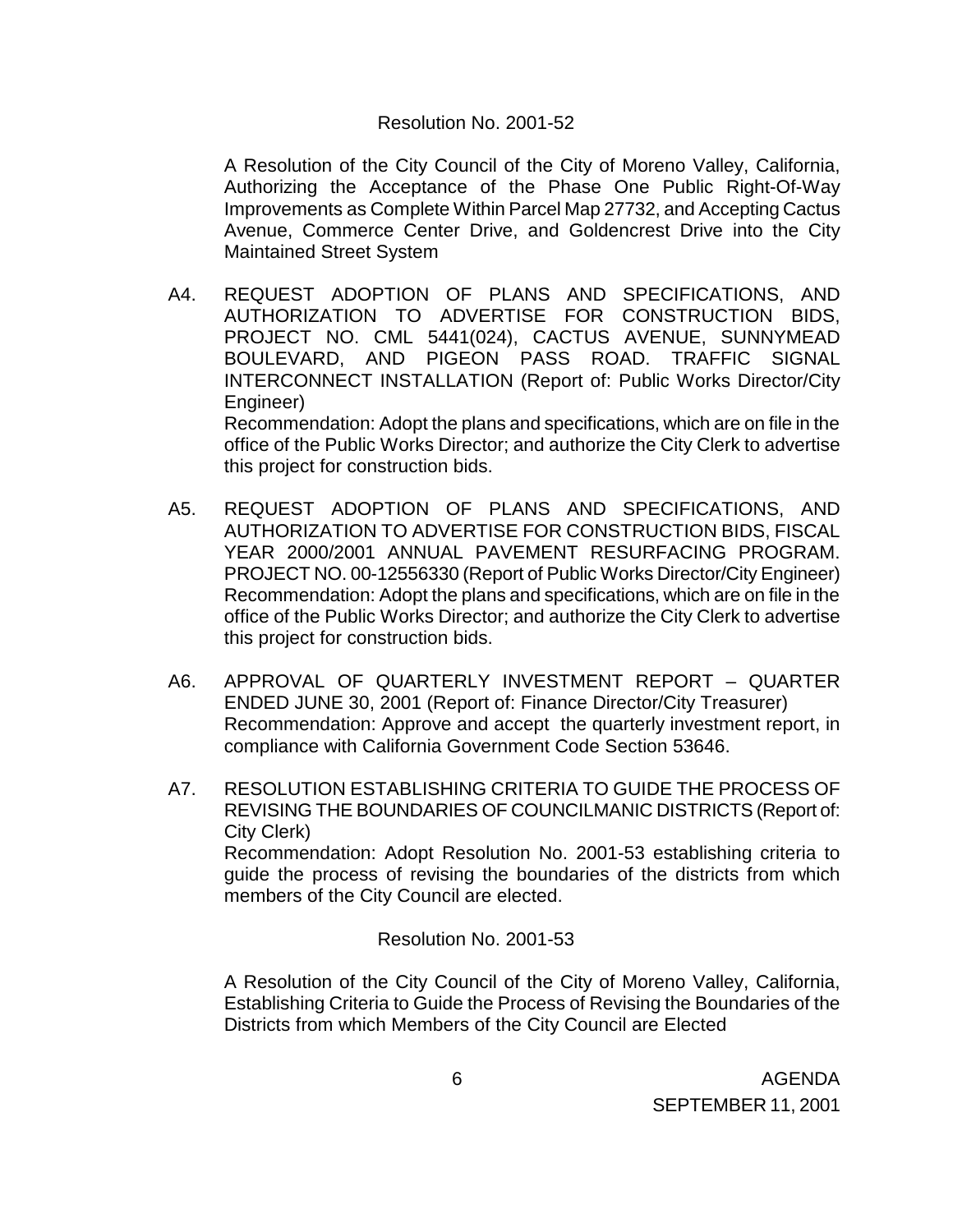### Resolution No. 2001-52

 A Resolution of the City Council of the City of Moreno Valley, California, Authorizing the Acceptance of the Phase One Public Right-Of-Way Improvements as Complete Within Parcel Map 27732, and Accepting Cactus Avenue, Commerce Center Drive, and Goldencrest Drive into the City Maintained Street System

- A4. REQUEST ADOPTION OF PLANS AND SPECIFICATIONS, AND AUTHORIZATION TO ADVERTISE FOR CONSTRUCTION BIDS, PROJECT NO. CML 5441(024), CACTUS AVENUE, SUNNYMEAD BOULEVARD, AND PIGEON PASS ROAD. TRAFFIC SIGNAL INTERCONNECT INSTALLATION (Report of: Public Works Director/City Engineer) Recommendation: Adopt the plans and specifications, which are on file in the office of the Public Works Director; and authorize the City Clerk to advertise this project for construction bids.
- A5. REQUEST ADOPTION OF PLANS AND SPECIFICATIONS, AND AUTHORIZATION TO ADVERTISE FOR CONSTRUCTION BIDS, FISCAL YEAR 2000/2001 ANNUAL PAVEMENT RESURFACING PROGRAM. PROJECT NO. 00-12556330 (Report of Public Works Director/City Engineer) Recommendation: Adopt the plans and specifications, which are on file in the office of the Public Works Director; and authorize the City Clerk to advertise this project for construction bids.
- A6. APPROVAL OF QUARTERLY INVESTMENT REPORT QUARTER ENDED JUNE 30, 2001 (Report of: Finance Director/City Treasurer) Recommendation: Approve and accept the quarterly investment report, in compliance with California Government Code Section 53646.
- A7. RESOLUTION ESTABLISHING CRITERIA TO GUIDE THE PROCESS OF REVISING THE BOUNDARIES OF COUNCILMANIC DISTRICTS (Report of: City Clerk) Recommendation: Adopt Resolution No. 2001-53 establishing criteria to guide the process of revising the boundaries of the districts from which members of the City Council are elected.

Resolution No. 2001-53

 A Resolution of the City Council of the City of Moreno Valley, California, Establishing Criteria to Guide the Process of Revising the Boundaries of the Districts from which Members of the City Council are Elected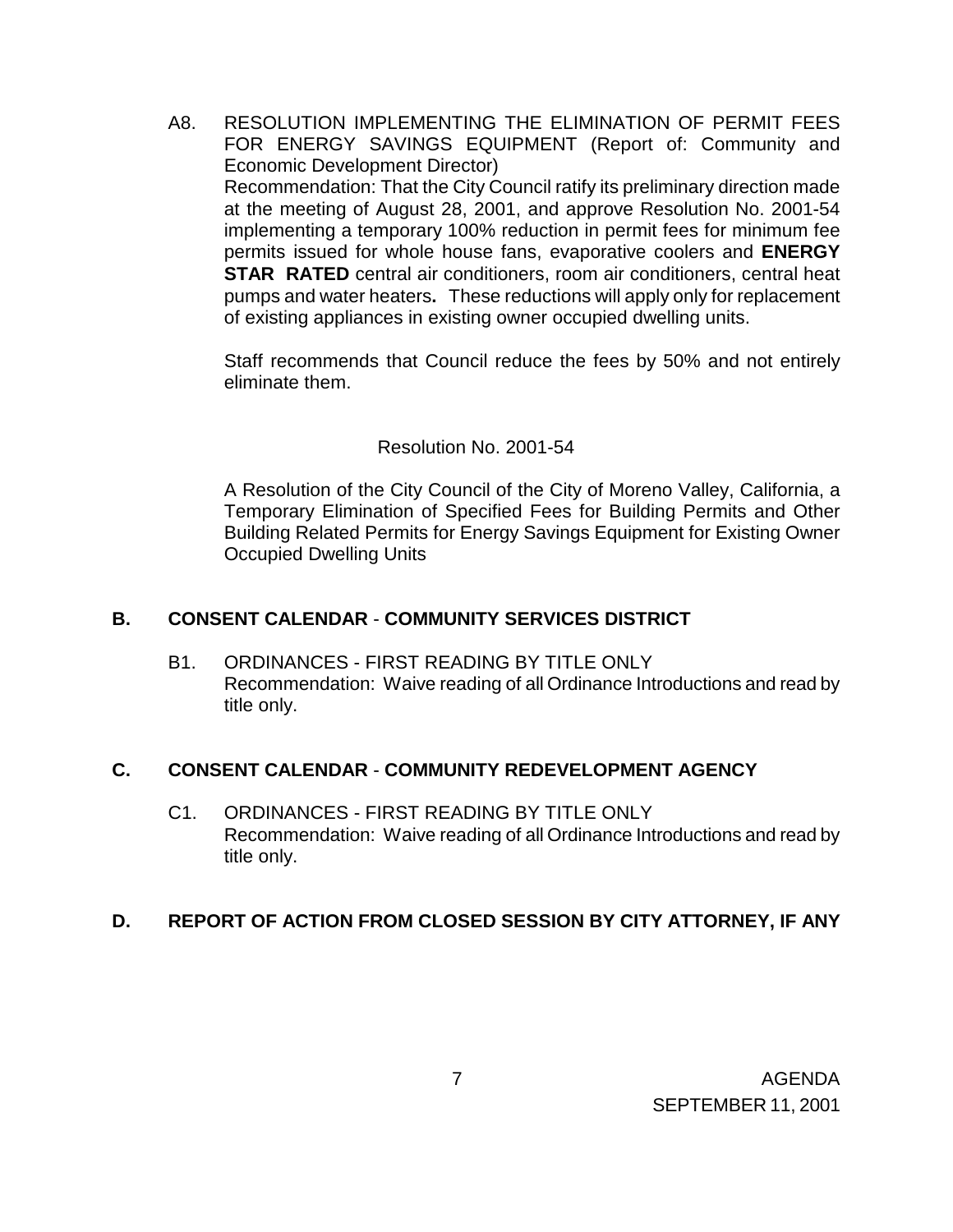A8. RESOLUTION IMPLEMENTING THE ELIMINATION OF PERMIT FEES FOR ENERGY SAVINGS EQUIPMENT (Report of: Community and Economic Development Director) Recommendation: That the City Council ratify its preliminary direction made at the meeting of August 28, 2001, and approve Resolution No. 2001-54 implementing a temporary 100% reduction in permit fees for minimum fee permits issued for whole house fans, evaporative coolers and **ENERGY STAR RATED** central air conditioners, room air conditioners, central heat pumps and water heaters**.** These reductions will apply only for replacement of existing appliances in existing owner occupied dwelling units.

Staff recommends that Council reduce the fees by 50% and not entirely eliminate them.

### Resolution No. 2001-54

 A Resolution of the City Council of the City of Moreno Valley, California, a Temporary Elimination of Specified Fees for Building Permits and Other Building Related Permits for Energy Savings Equipment for Existing Owner Occupied Dwelling Units

## **B. CONSENT CALENDAR** - **COMMUNITY SERVICES DISTRICT**

B1. ORDINANCES - FIRST READING BY TITLE ONLY Recommendation: Waive reading of all Ordinance Introductions and read by title only.

## **C. CONSENT CALENDAR** - **COMMUNITY REDEVELOPMENT AGENCY**

C1. ORDINANCES - FIRST READING BY TITLE ONLY Recommendation: Waive reading of all Ordinance Introductions and read by title only.

## **D. REPORT OF ACTION FROM CLOSED SESSION BY CITY ATTORNEY, IF ANY**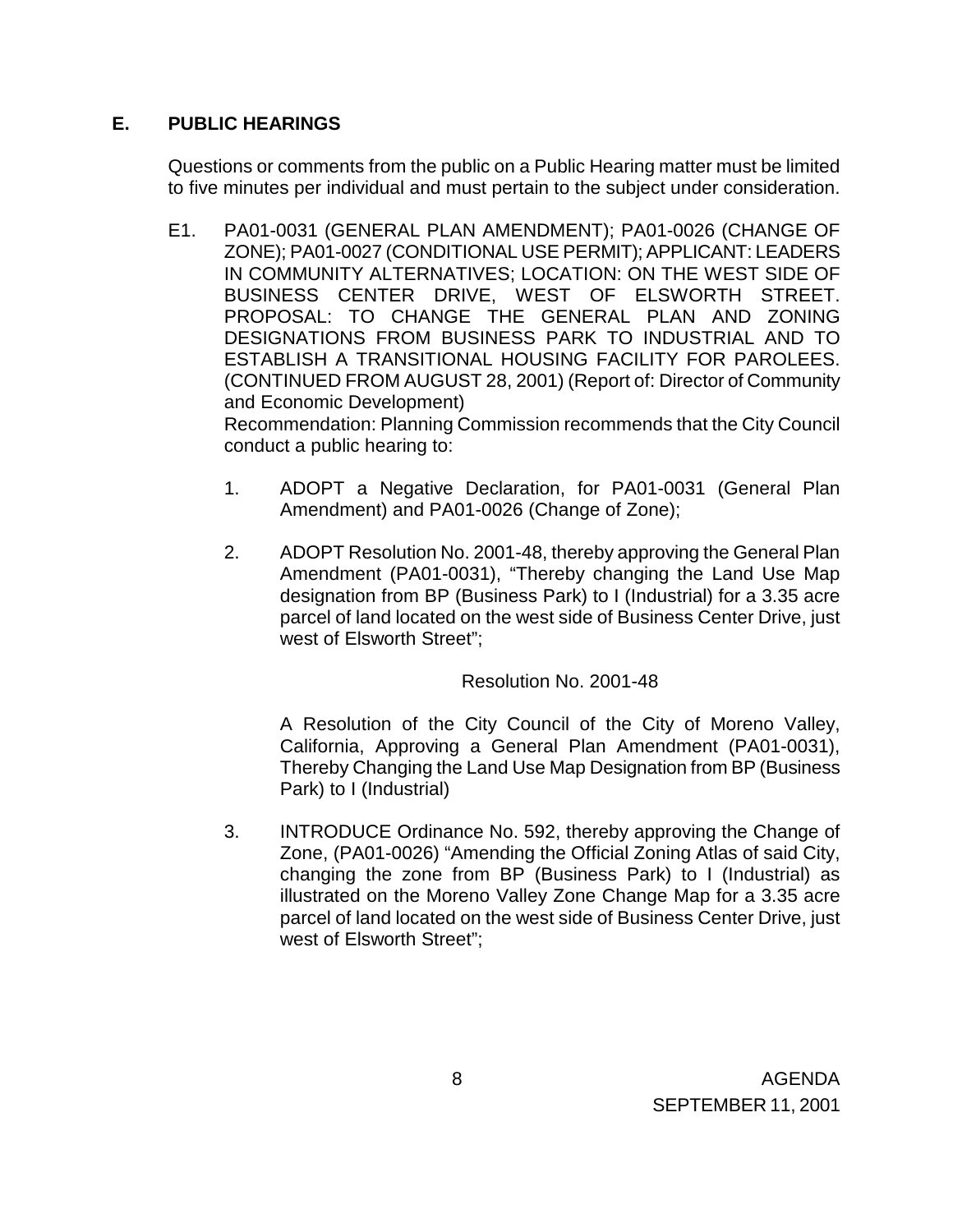# **E. PUBLIC HEARINGS**

Questions or comments from the public on a Public Hearing matter must be limited to five minutes per individual and must pertain to the subject under consideration.

E1. PA01-0031 (GENERAL PLAN AMENDMENT); PA01-0026 (CHANGE OF ZONE); PA01-0027 (CONDITIONAL USE PERMIT); APPLICANT: LEADERS IN COMMUNITY ALTERNATIVES; LOCATION: ON THE WEST SIDE OF BUSINESS CENTER DRIVE, WEST OF ELSWORTH STREET. PROPOSAL: TO CHANGE THE GENERAL PLAN AND ZONING DESIGNATIONS FROM BUSINESS PARK TO INDUSTRIAL AND TO ESTABLISH A TRANSITIONAL HOUSING FACILITY FOR PAROLEES. (CONTINUED FROM AUGUST 28, 2001) (Report of: Director of Community and Economic Development)

 Recommendation: Planning Commission recommends that the City Council conduct a public hearing to:

- 1. ADOPT a Negative Declaration, for PA01-0031 (General Plan Amendment) and PA01-0026 (Change of Zone);
- 2. ADOPT Resolution No. 2001-48, thereby approving the General Plan Amendment (PA01-0031), "Thereby changing the Land Use Map designation from BP (Business Park) to I (Industrial) for a 3.35 acre parcel of land located on the west side of Business Center Drive, just west of Elsworth Street";

Resolution No. 2001-48

A Resolution of the City Council of the City of Moreno Valley, California, Approving a General Plan Amendment (PA01-0031), Thereby Changing the Land Use Map Designation from BP (Business Park) to I (Industrial)

3. INTRODUCE Ordinance No. 592, thereby approving the Change of Zone, (PA01-0026) "Amending the Official Zoning Atlas of said City, changing the zone from BP (Business Park) to I (Industrial) as illustrated on the Moreno Valley Zone Change Map for a 3.35 acre parcel of land located on the west side of Business Center Drive, just west of Elsworth Street";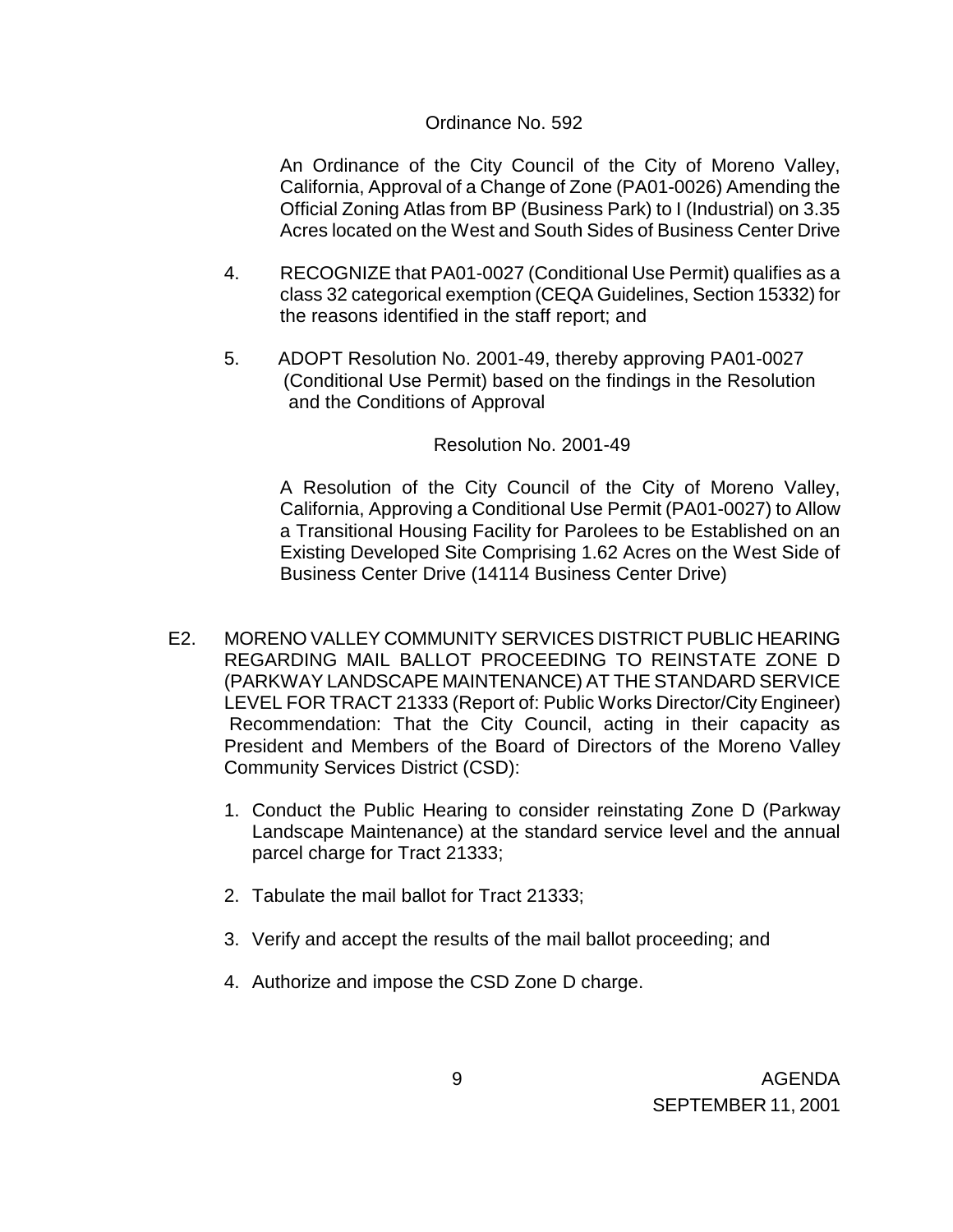#### Ordinance No. 592

 An Ordinance of the City Council of the City of Moreno Valley, California, Approval of a Change of Zone (PA01-0026) Amending the Official Zoning Atlas from BP (Business Park) to I (Industrial) on 3.35 Acres located on the West and South Sides of Business Center Drive

- 4. RECOGNIZE that PA01-0027 (Conditional Use Permit) qualifies as a class 32 categorical exemption (CEQA Guidelines, Section 15332) for the reasons identified in the staff report; and
- 5. ADOPT Resolution No. 2001-49, thereby approving PA01-0027 (Conditional Use Permit) based on the findings in the Resolution and the Conditions of Approval

## Resolution No. 2001-49

 A Resolution of the City Council of the City of Moreno Valley, California, Approving a Conditional Use Permit (PA01-0027) to Allow a Transitional Housing Facility for Parolees to be Established on an Existing Developed Site Comprising 1.62 Acres on the West Side of Business Center Drive (14114 Business Center Drive)

- E2. MORENO VALLEY COMMUNITY SERVICES DISTRICT PUBLIC HEARING REGARDING MAIL BALLOT PROCEEDING TO REINSTATE ZONE D (PARKWAY LANDSCAPE MAINTENANCE) AT THE STANDARD SERVICE LEVEL FOR TRACT 21333 (Report of: Public Works Director/City Engineer) Recommendation: That the City Council, acting in their capacity as President and Members of the Board of Directors of the Moreno Valley Community Services District (CSD):
	- 1. Conduct the Public Hearing to consider reinstating Zone D (Parkway Landscape Maintenance) at the standard service level and the annual parcel charge for Tract 21333;
	- 2. Tabulate the mail ballot for Tract 21333;
	- 3. Verify and accept the results of the mail ballot proceeding; and
	- 4. Authorize and impose the CSD Zone D charge.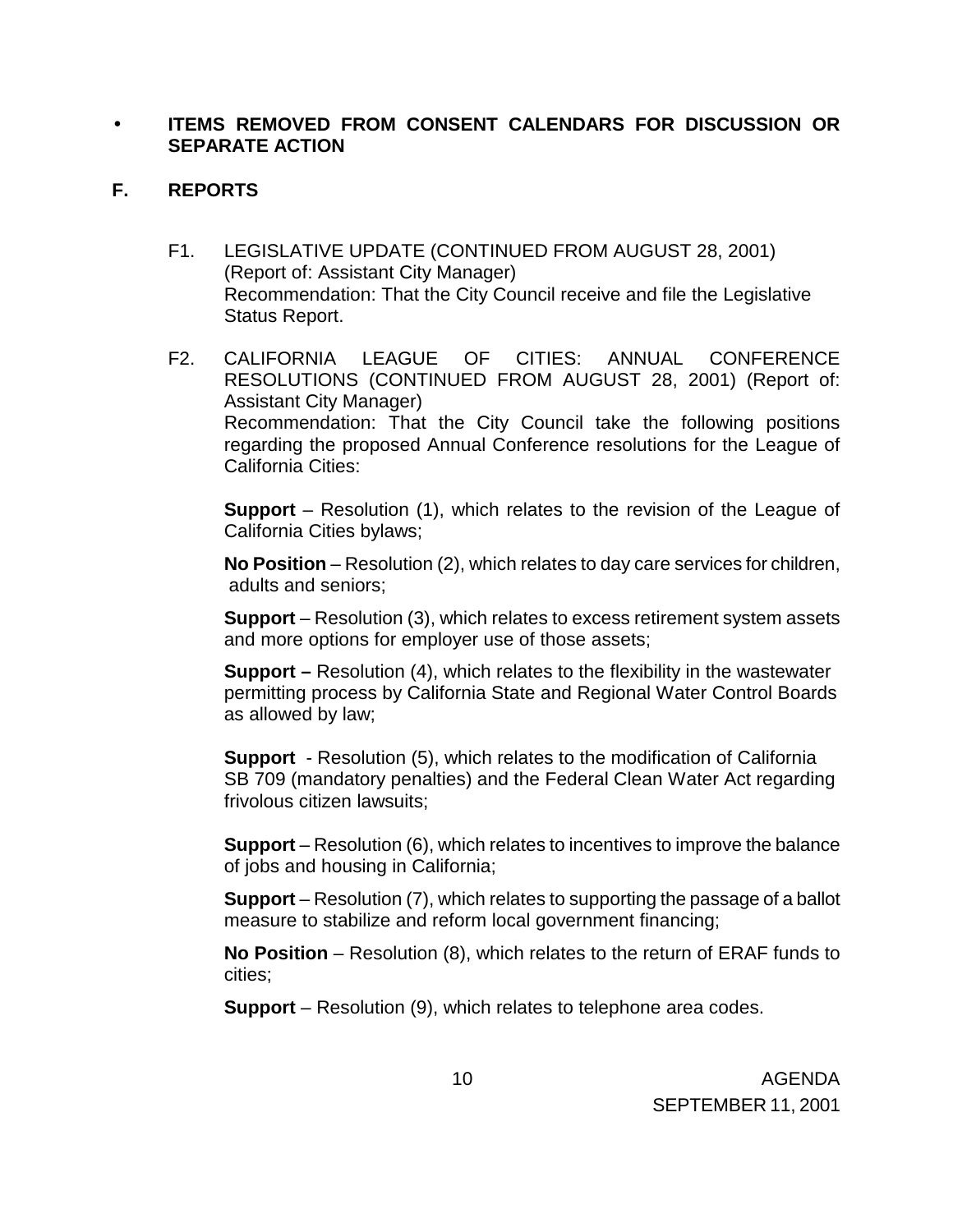## • **ITEMS REMOVED FROM CONSENT CALENDARS FOR DISCUSSION OR SEPARATE ACTION**

## **F. REPORTS**

- F1. LEGISLATIVE UPDATE (CONTINUED FROM AUGUST 28, 2001) (Report of: Assistant City Manager) Recommendation: That the City Council receive and file the Legislative Status Report.
- F2. CALIFORNIA LEAGUE OF CITIES: ANNUAL CONFERENCE RESOLUTIONS (CONTINUED FROM AUGUST 28, 2001) (Report of: Assistant City Manager) Recommendation: That the City Council take the following positions regarding the proposed Annual Conference resolutions for the League of California Cities:

**Support** – Resolution (1), which relates to the revision of the League of California Cities bylaws;

 **No Position** – Resolution (2), which relates to day care services for children, adults and seniors;

 **Support** – Resolution (3), which relates to excess retirement system assets and more options for employer use of those assets;

**Support –** Resolution (4), which relates to the flexibility in the wastewater permitting process by California State and Regional Water Control Boards as allowed by law;

**Support** - Resolution (5), which relates to the modification of California SB 709 (mandatory penalties) and the Federal Clean Water Act regarding frivolous citizen lawsuits;

**Support** – Resolution (6), which relates to incentives to improve the balance of jobs and housing in California;

**Support** – Resolution (7), which relates to supporting the passage of a ballot measure to stabilize and reform local government financing;

**No Position** – Resolution (8), which relates to the return of ERAF funds to cities;

**Support** – Resolution (9), which relates to telephone area codes.